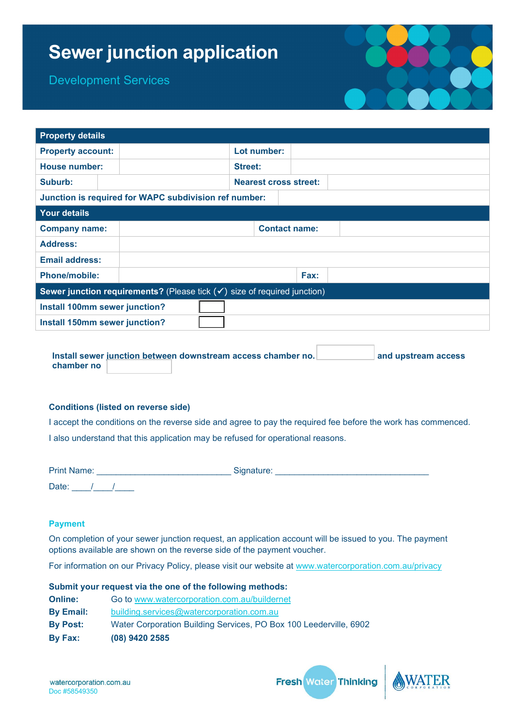# **Sewer junction application**

Development Services

| <b>DEACIONITIELII OEI AINES</b> |                                                                             |                |                              |  |  |
|---------------------------------|-----------------------------------------------------------------------------|----------------|------------------------------|--|--|
|                                 |                                                                             |                |                              |  |  |
| <b>Property details</b>         |                                                                             |                |                              |  |  |
| <b>Property account:</b>        |                                                                             | Lot number:    |                              |  |  |
| <b>House number:</b>            |                                                                             | <b>Street:</b> |                              |  |  |
| Suburb:                         |                                                                             |                | <b>Nearest cross street:</b> |  |  |
|                                 | Junction is required for WAPC subdivision ref number:                       |                |                              |  |  |
| <b>Your details</b>             |                                                                             |                |                              |  |  |
| <b>Company name:</b>            |                                                                             |                | <b>Contact name:</b>         |  |  |
| <b>Address:</b>                 |                                                                             |                |                              |  |  |
| <b>Email address:</b>           |                                                                             |                |                              |  |  |
| <b>Phone/mobile:</b>            |                                                                             |                | Fax:                         |  |  |
|                                 | Sewer junction requirements? (Please tick $(v')$ size of required junction) |                |                              |  |  |
| Install 100mm sewer junction?   |                                                                             |                |                              |  |  |
| Install 150mm sewer junction?   |                                                                             |                |                              |  |  |

Install sewer junction between downstream access chamber no. **All and upstream access chamber no** 

#### **Conditions (listed on reverse side)**

I accept the conditions on the reverse side and agree to pay the required fee before the work has commenced. I also understand that this application may be refused for operational reasons.

| <b>Print Name:</b> | Signature: |
|--------------------|------------|
| Date:              |            |

## **Payment**

On completion of your sewer junction request, an application account will be issued to you. The payment options available are shown on the reverse side of the payment voucher.

For information on our Privacy Policy, please visit our website at [www.watercorporation.com.au/privacy](http://www.watercorporation.com.au/privacy)

|                  | Submit your request via the one of the following methods:         |
|------------------|-------------------------------------------------------------------|
| <b>Online:</b>   | Go to www.watercorporation.com.au/buildernet                      |
| <b>By Email:</b> | building.services@watercorporation.com.au                         |
| <b>By Post:</b>  | Water Corporation Building Services, PO Box 100 Leederville, 6902 |
| By Fax:          | (08) 9420 2585                                                    |

**Fresh Water Thinking**